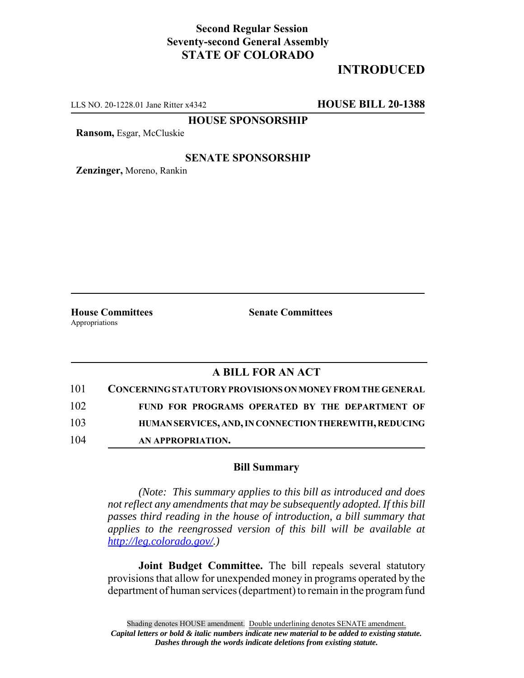## **Second Regular Session Seventy-second General Assembly STATE OF COLORADO**

# **INTRODUCED**

LLS NO. 20-1228.01 Jane Ritter x4342 **HOUSE BILL 20-1388**

**HOUSE SPONSORSHIP**

**Ransom,** Esgar, McCluskie

#### **SENATE SPONSORSHIP**

**Zenzinger,** Moreno, Rankin

Appropriations

**House Committees Senate Committees**

#### **A BILL FOR AN ACT**

| 101 | <b>CONCERNING STATUTORY PROVISIONS ON MONEY FROM THE GENERAL</b> |
|-----|------------------------------------------------------------------|
| 102 | FUND FOR PROGRAMS OPERATED BY THE DEPARTMENT OF                  |
| 103 | HUMAN SERVICES, AND, IN CONNECTION THEREWITH, REDUCING           |
| 104 | AN APPROPRIATION.                                                |

#### **Bill Summary**

*(Note: This summary applies to this bill as introduced and does not reflect any amendments that may be subsequently adopted. If this bill passes third reading in the house of introduction, a bill summary that applies to the reengrossed version of this bill will be available at http://leg.colorado.gov/.)*

**Joint Budget Committee.** The bill repeals several statutory provisions that allow for unexpended money in programs operated by the department of human services (department) to remain in the program fund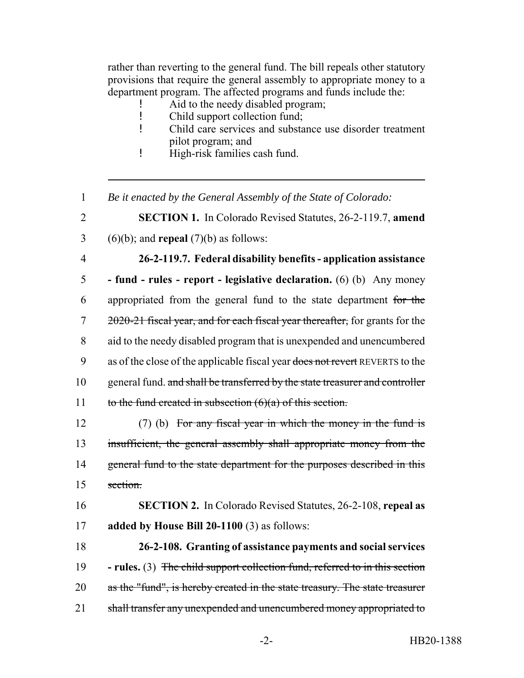rather than reverting to the general fund. The bill repeals other statutory provisions that require the general assembly to appropriate money to a department program. The affected programs and funds include the:

- Aid to the needy disabled program;
- ! Child support collection fund;
- ! Child care services and substance use disorder treatment pilot program; and
- ! High-risk families cash fund.
- 1 *Be it enacted by the General Assembly of the State of Colorado:*
- 2 **SECTION 1.** In Colorado Revised Statutes, 26-2-119.7, **amend**  $3 \qquad (6)(b)$ ; and **repeal** (7)(b) as follows:
- 

## 4 **26-2-119.7. Federal disability benefits - application assistance**

5 **- fund - rules - report - legislative declaration.** (6) (b) Any money 6 appropriated from the general fund to the state department for the 7 2020-21 fiscal year, and for each fiscal year thereafter, for grants for the 8 aid to the needy disabled program that is unexpended and unencumbered 9 as of the close of the applicable fiscal year does not revert REVERTS to the 10 general fund. and shall be transferred by the state treasurer and controller 11 to the fund created in subsection  $(6)(a)$  of this section.

12 (7) (b) For any fiscal year in which the money in the fund is 13 insufficient, the general assembly shall appropriate money from the 14 general fund to the state department for the purposes described in this 15 section.

16 **SECTION 2.** In Colorado Revised Statutes, 26-2-108, **repeal as** 17 **added by House Bill 20-1100** (3) as follows:

18 **26-2-108. Granting of assistance payments and social services** 19 **- rules.** (3) The child support collection fund, referred to in this section 20 as the "fund", is hereby created in the state treasury. The state treasurer 21 shall transfer any unexpended and unencumbered money appropriated to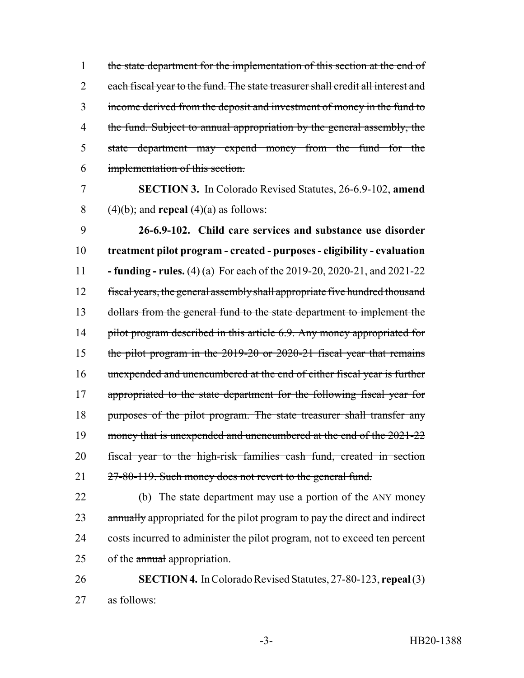1 the state department for the implementation of this section at the end of 2 each fiscal year to the fund. The state treasurer shall credit all interest and 3 income derived from the deposit and investment of money in the fund to 4 the fund. Subject to annual appropriation by the general assembly, the 5 state department may expend money from the fund for the 6 implementation of this section.

7 **SECTION 3.** In Colorado Revised Statutes, 26-6.9-102, **amend** 8 (4)(b); and **repeal** (4)(a) as follows:

 **26-6.9-102. Child care services and substance use disorder treatment pilot program - created - purposes - eligibility - evaluation - funding - rules.** (4) (a) For each of the 2019-20, 2020-21, and 2021-22 fiscal years, the general assembly shall appropriate five hundred thousand dollars from the general fund to the state department to implement the 14 pilot program described in this article 6.9. Any money appropriated for the pilot program in the 2019-20 or 2020-21 fiscal year that remains unexpended and unencumbered at the end of either fiscal year is further 17 appropriated to the state department for the following fiscal year for 18 purposes of the pilot program. The state treasurer shall transfer any 19 money that is unexpended and unencumbered at the end of the 2021-22 fiscal year to the high-risk families cash fund, created in section 21 27-80-119. Such money does not revert to the general fund.

22 (b) The state department may use a portion of the ANY money 23 annually appropriated for the pilot program to pay the direct and indirect 24 costs incurred to administer the pilot program, not to exceed ten percent 25 of the annual appropriation.

26 **SECTION 4.** In Colorado Revised Statutes, 27-80-123, **repeal** (3) 27 as follows: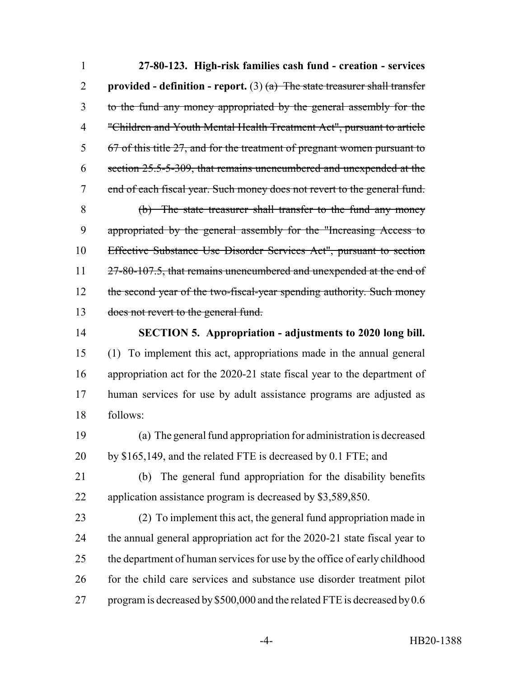**27-80-123. High-risk families cash fund - creation - services provided - definition - report.** (3)  $(a)$  The state treasurer shall transfer to the fund any money appropriated by the general assembly for the "Children and Youth Mental Health Treatment Act", pursuant to article 67 of this title 27, and for the treatment of pregnant women pursuant to section 25.5-5-309, that remains unencumbered and unexpended at the end of each fiscal year. Such money does not revert to the general fund. (b) The state treasurer shall transfer to the fund any money appropriated by the general assembly for the "Increasing Access to Effective Substance Use Disorder Services Act", pursuant to section 11 27-80-107.5, that remains unencumbered and unexpended at the end of 12 the second year of the two-fiscal-year spending authority. Such money 13 does not revert to the general fund. **SECTION 5. Appropriation - adjustments to 2020 long bill.** (1) To implement this act, appropriations made in the annual general

 appropriation act for the 2020-21 state fiscal year to the department of human services for use by adult assistance programs are adjusted as follows:

 (a) The general fund appropriation for administration is decreased by \$165,149, and the related FTE is decreased by 0.1 FTE; and

 (b) The general fund appropriation for the disability benefits application assistance program is decreased by \$3,589,850.

 (2) To implement this act, the general fund appropriation made in the annual general appropriation act for the 2020-21 state fiscal year to the department of human services for use by the office of early childhood for the child care services and substance use disorder treatment pilot 27 program is decreased by \$500,000 and the related FTE is decreased by 0.6